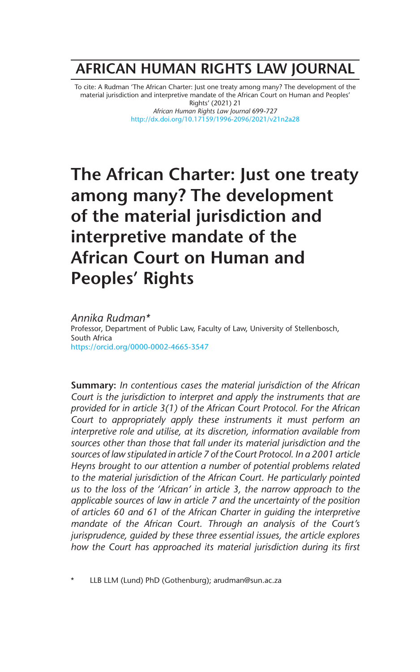# **AFRICAN HUMAN RIGHTS LAW JOURNAL**

To cite: A Rudman 'The African Charter: Just one treaty among many? The development of the material jurisdiction and interpretive mandate of the African Court on Human and Peoples' Rights' (2021) 21

*African Human Rights Law Journal* 699-727 http://dx.doi.org/10.17159/1996-2096/2021/v21n2a28

# **The African Charter: Just one treaty among many? The development of the material jurisdiction and interpretive mandate of the African Court on Human and Peoples' Rights**

*Annika Rudman\** Professor, Department of Public Law, Faculty of Law, University of Stellenbosch, South Africa https://orcid.org/0000-0002-4665-3547

**Summary:** *In contentious cases the material jurisdiction of the African Court is the jurisdiction to interpret and apply the instruments that are provided for in article 3(1) of the African Court Protocol. For the African Court to appropriately apply these instruments it must perform an interpretive role and utilise, at its discretion, information available from sources other than those that fall under its material jurisdiction and the sources of law stipulated in article 7 of the Court Protocol. In a 2001 article Heyns brought to our attention a number of potential problems related to the material jurisdiction of the African Court. He particularly pointed us to the loss of the 'African' in article 3, the narrow approach to the applicable sources of law in article 7 and the uncertainty of the position of articles 60 and 61 of the African Charter in guiding the interpretive mandate of the African Court. Through an analysis of the Court's jurisprudence, guided by these three essential issues, the article explores how the Court has approached its material jurisdiction during its first* 

LLB LLM (Lund) PhD (Gothenburg); arudman@sun.ac.za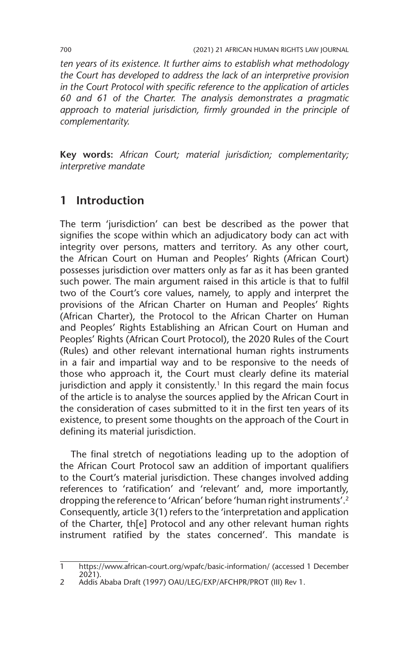*ten years of its existence. It further aims to establish what methodology the Court has developed to address the lack of an interpretive provision in the Court Protocol with specific reference to the application of articles 60 and 61 of the Charter. The analysis demonstrates a pragmatic*  approach to material jurisdiction, firmly grounded in the principle of *complementarity.*

**Key words:** *African Court; material jurisdiction; complementarity; interpretive mandate* 

# **1 Introduction**

The term 'jurisdiction' can best be described as the power that signifies the scope within which an adjudicatory body can act with integrity over persons, matters and territory. As any other court, the African Court on Human and Peoples' Rights (African Court) possesses jurisdiction over matters only as far as it has been granted such power. The main argument raised in this article is that to fulfil two of the Court's core values, namely, to apply and interpret the provisions of the African Charter on Human and Peoples' Rights (African Charter), the Protocol to the African Charter on Human and Peoples' Rights Establishing an African Court on Human and Peoples' Rights (African Court Protocol), the 2020 Rules of the Court (Rules) and other relevant international human rights instruments in a fair and impartial way and to be responsive to the needs of those who approach it, the Court must clearly define its material jurisdiction and apply it consistently.<sup>1</sup> In this regard the main focus of the article is to analyse the sources applied by the African Court in the consideration of cases submitted to it in the first ten years of its existence, to present some thoughts on the approach of the Court in defining its material jurisdiction.

The final stretch of negotiations leading up to the adoption of the African Court Protocol saw an addition of important qualifiers to the Court's material jurisdiction. These changes involved adding references to 'ratification' and 'relevant' and, more importantly, dropping the reference to 'African' before 'human right instruments'.2 Consequently, article 3(1) refers to the 'interpretation and application of the Charter, th[e] Protocol and any other relevant human rights instrument ratified by the states concerned'. This mandate is

<sup>1</sup> https://www.african-court.org/wpafc/basic-information/ (accessed 1 December 2021).

<sup>2</sup> Addis Ababa Draft (1997) OAU/LEG/EXP/AFCHPR/PROT (III) Rev 1.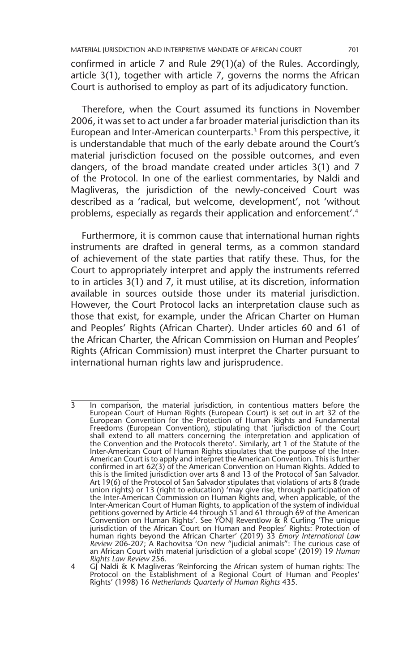confirmed in article 7 and Rule 29(1)(a) of the Rules. Accordingly, article 3(1), together with article 7, governs the norms the African Court is authorised to employ as part of its adjudicatory function.

Therefore, when the Court assumed its functions in November 2006, it was set to act under a far broader material jurisdiction than its European and Inter-American counterparts.<sup>3</sup> From this perspective, it is understandable that much of the early debate around the Court's material jurisdiction focused on the possible outcomes, and even dangers, of the broad mandate created under articles 3(1) and 7 of the Protocol. In one of the earliest commentaries, by Naldi and Magliveras, the jurisdiction of the newly-conceived Court was described as a 'radical, but welcome, development', not 'without problems, especially as regards their application and enforcement'.4

Furthermore, it is common cause that international human rights instruments are drafted in general terms, as a common standard of achievement of the state parties that ratify these. Thus, for the Court to appropriately interpret and apply the instruments referred to in articles 3(1) and 7, it must utilise, at its discretion, information available in sources outside those under its material jurisdiction. However, the Court Protocol lacks an interpretation clause such as those that exist, for example, under the African Charter on Human and Peoples' Rights (African Charter). Under articles 60 and 61 of the African Charter, the African Commission on Human and Peoples' Rights (African Commission) must interpret the Charter pursuant to international human rights law and jurisprudence.

<sup>3</sup> In comparison, the material jurisdiction, in contentious matters before the European Court of Human Rights (European Court) is set out in art 32 of the European Convention for the Protection of Human Rights and Fundamental Freedoms (European Convention), stipulating that 'jurisdiction of the Court shall extend to all matters concerning the interpretation and application of the Convention and the Protocols thereto'. Similarly, art 1 of the Statute of the Inter-American Court of Human Rights stipulates that the purpose of the Inter-American Court is to apply and interpret the American Convention. This is further confirmed in art 62(3) of the American Convention on Human Rights. Added to this is the limited jurisdiction over arts 8 and 13 of the Protocol of San Salvador. Art 19(6) of the Protocol of San Salvador stipulates that violations of arts 8 (trade union rights) or 13 (right to education) 'may give rise, through participation of the Inter-American Commission on Human Rights and, when applicable, of the Inter-American Court of Human Rights, to application of the system of individual petitions governed by Article 44 through 51 and 61 through 69 of the American Convention on Human Rights'. See YONJ Reventlow & R Curling 'The unique jurisdiction of the African Court on Human and Peoples' Rights: Protection of human rights beyond the African Charter' (2019) 33 *Emory International Law Review* 206-207; A Rachovitsa 'On new "judicial animals": The curious case of an African Court with material jurisdiction of a global scope' (2019) 19 *Human Rights Law Review* 256.

<sup>4</sup> GJ Naldi & K Magliveras 'Reinforcing the African system of human rights: The Protocol on the Establishment of a Regional Court of Human and Peoples' Rights' (1998) 16 *Netherlands Quarterly of Human Rights* 435.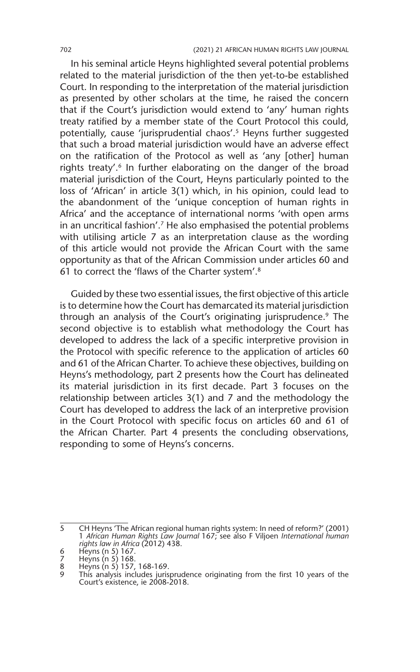In his seminal article Heyns highlighted several potential problems related to the material jurisdiction of the then yet-to-be established Court. In responding to the interpretation of the material jurisdiction as presented by other scholars at the time, he raised the concern that if the Court's jurisdiction would extend to 'any' human rights treaty ratified by a member state of the Court Protocol this could, potentially, cause 'jurisprudential chaos'.5 Heyns further suggested that such a broad material jurisdiction would have an adverse effect on the ratification of the Protocol as well as 'any [other] human rights treaty'.<sup>6</sup> In further elaborating on the danger of the broad material jurisdiction of the Court, Heyns particularly pointed to the loss of 'African' in article 3(1) which, in his opinion, could lead to the abandonment of the 'unique conception of human rights in Africa' and the acceptance of international norms 'with open arms in an uncritical fashion'.7 He also emphasised the potential problems with utilising article 7 as an interpretation clause as the wording of this article would not provide the African Court with the same opportunity as that of the African Commission under articles 60 and 61 to correct the 'flaws of the Charter system'.8

Guided by these two essential issues, the first objective of this article is to determine how the Court has demarcated its material jurisdiction through an analysis of the Court's originating jurisprudence.<sup>9</sup> The second objective is to establish what methodology the Court has developed to address the lack of a specific interpretive provision in the Protocol with specific reference to the application of articles 60 and 61 of the African Charter. To achieve these objectives, building on Heyns's methodology, part 2 presents how the Court has delineated its material jurisdiction in its first decade. Part 3 focuses on the relationship between articles 3(1) and 7 and the methodology the Court has developed to address the lack of an interpretive provision in the Court Protocol with specific focus on articles 60 and 61 of the African Charter. Part 4 presents the concluding observations, responding to some of Heyns's concerns.

<sup>5</sup> CH Heyns 'The African regional human rights system: In need of reform?' (2001) 1 *African Human Rights Law Journal* 167; see also F Viljoen *International human rights law in Africa* (2012) 438. 6 Heyns (n 5) 167. 7 Heyns (n 5) 168.

<sup>8</sup> Heyns (n 5) 157, 168-169.

<sup>9</sup> This analysis includes jurisprudence originating from the first 10 years of the Court's existence, ie 2008-2018.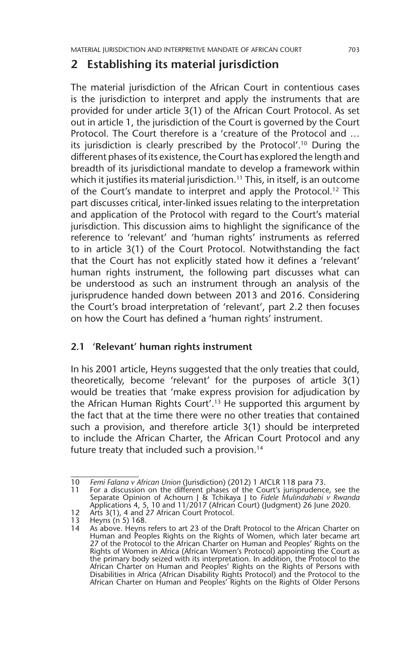## **2 Establishing its material jurisdiction**

The material jurisdiction of the African Court in contentious cases is the jurisdiction to interpret and apply the instruments that are provided for under article 3(1) of the African Court Protocol. As set out in article 1, the jurisdiction of the Court is governed by the Court Protocol. The Court therefore is a 'creature of the Protocol and … its jurisdiction is clearly prescribed by the Protocol'.10 During the different phases of its existence, the Court has explored the length and breadth of its jurisdictional mandate to develop a framework within which it justifies its material jurisdiction.<sup>11</sup> This, in itself, is an outcome of the Court's mandate to interpret and apply the Protocol.<sup>12</sup> This part discusses critical, inter-linked issues relating to the interpretation and application of the Protocol with regard to the Court's material jurisdiction. This discussion aims to highlight the significance of the reference to 'relevant' and 'human rights' instruments as referred to in article 3(1) of the Court Protocol. Notwithstanding the fact that the Court has not explicitly stated how it defines a 'relevant' human rights instrument, the following part discusses what can be understood as such an instrument through an analysis of the jurisprudence handed down between 2013 and 2016. Considering the Court's broad interpretation of 'relevant', part 2.2 then focuses on how the Court has defined a 'human rights' instrument.

#### **2.1 'Relevant' human rights instrument**

In his 2001 article, Heyns suggested that the only treaties that could, theoretically, become 'relevant' for the purposes of article 3(1) would be treaties that 'make express provision for adjudication by the African Human Rights Court'.13 He supported this argument by the fact that at the time there were no other treaties that contained such a provision, and therefore article 3(1) should be interpreted to include the African Charter, the African Court Protocol and any future treaty that included such a provision.<sup>14</sup>

<sup>10</sup> *Femi Falana v African Union* (Jurisdiction) (2012) 1 AfCLR 118 para 73.

For a discussion on the different phases of the Court's jurisprudence, see the Separate Opinion of Achourn J & Tchikaya J to *Fidele Mulindahabi v Rwanda* Applications 4, 5, 10 and 11/2017 (African Court) (Judgment) 26 June 2020.

<sup>12</sup> Arts 3(1), 4 and 27 African Court Protocol.

<sup>13</sup> Heyns  $(n\ 5)$  168.<br>14 As above. Heyns

As above. Heyns refers to art 23 of the Draft Protocol to the African Charter on Human and Peoples Rights on the Rights of Women, which later became art 27 of the Protocol to the African Charter on Human and Peoples' Rights on the Rights of Women in Africa (African Women's Protocol) appointing the Court as the primary body seized with its interpretation. In addition, the Protocol to the African Charter on Human and Peoples' Rights on the Rights of Persons with Disabilities in Africa (African Disability Rights Protocol) and the Protocol to the African Charter on Human and Peoples' Rights on the Rights of Older Persons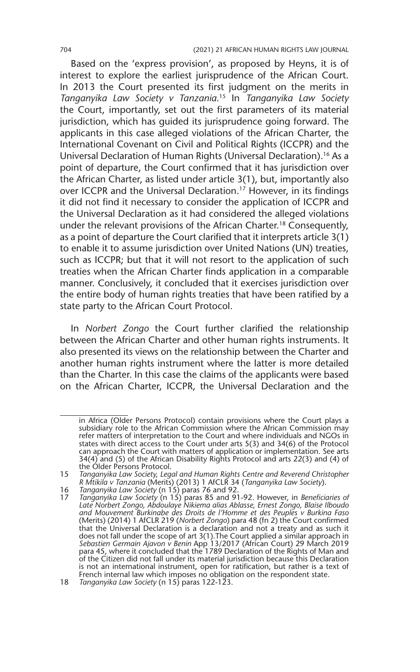Based on the 'express provision', as proposed by Heyns, it is of interest to explore the earliest jurisprudence of the African Court. In 2013 the Court presented its first judgment on the merits in *Tanganyika Law Society v Tanzania*. 15 In *Tanganyika Law Society*  the Court, importantly, set out the first parameters of its material jurisdiction, which has guided its jurisprudence going forward. The applicants in this case alleged violations of the African Charter, the International Covenant on Civil and Political Rights (ICCPR) and the Universal Declaration of Human Rights (Universal Declaration).16 As a point of departure, the Court confirmed that it has jurisdiction over the African Charter, as listed under article 3(1), but, importantly also over ICCPR and the Universal Declaration.17 However, in its findings it did not find it necessary to consider the application of ICCPR and the Universal Declaration as it had considered the alleged violations under the relevant provisions of the African Charter.18 Consequently, as a point of departure the Court clarified that it interprets article 3(1) to enable it to assume jurisdiction over United Nations (UN) treaties, such as ICCPR; but that it will not resort to the application of such treaties when the African Charter finds application in a comparable manner. Conclusively, it concluded that it exercises jurisdiction over the entire body of human rights treaties that have been ratified by a state party to the African Court Protocol.

In *Norbert Zongo* the Court further clarified the relationship between the African Charter and other human rights instruments. It also presented its views on the relationship between the Charter and another human rights instrument where the latter is more detailed than the Charter. In this case the claims of the applicants were based on the African Charter, ICCPR, the Universal Declaration and the

in Africa (Older Persons Protocol) contain provisions where the Court plays a subsidiary role to the African Commission where the African Commission may refer matters of interpretation to the Court and where individuals and NGOs in states with direct access to the Court under arts 5(3) and 34(6) of the Protocol can approach the Court with matters of application or implementation. See arts 34(4) and (5) of the African Disability Rights Protocol and arts 22(3) and (4) of the Older Persons Protocol.

<sup>15</sup> *Tanganyika Law Society, Legal and Human Rights Centre and Reverend Christopher R Mtikila v Tanzania* (Merits) (2013) 1 AfCLR 34 (*Tanganyika Law Society*).

<sup>16</sup> *Tanganyika Law Society* (n 15) paras 76 and 92.

<sup>17</sup> *Tanganyika Law Society* (n 15) paras 85 and 91-92. However, in *Beneficiaries of Late Norbert Zongo, Abdoulaye Nikiema alias Ablasse, Ernest Zongo, Blaise Ilboudo and Mouvement Burkinabe des Droits de l'Homme et des Peuples v Burkina Faso* (Merits) (2014) 1 AfCLR 219 (*Norbert Zongo*) para 48 (fn 2) the Court confirmed that the Universal Declaration is a declaration and not a treaty and as such it does not fall under the scope of art 3(1).The Court applied a similar approach in *Sebastien Germain Ajavon v Benin* App 13/2017 (African Court) 29 March 2019 para 45, where it concluded that the 1789 Declaration of the Rights of Man and of the Citizen did not fall under its material jurisdiction because this Declaration is not an international instrument, open for ratification, but rather is a text of French internal law which imposes no obligation on the respondent state.

<sup>18</sup> *Tanganyika Law Society* (n 15) paras 122-123.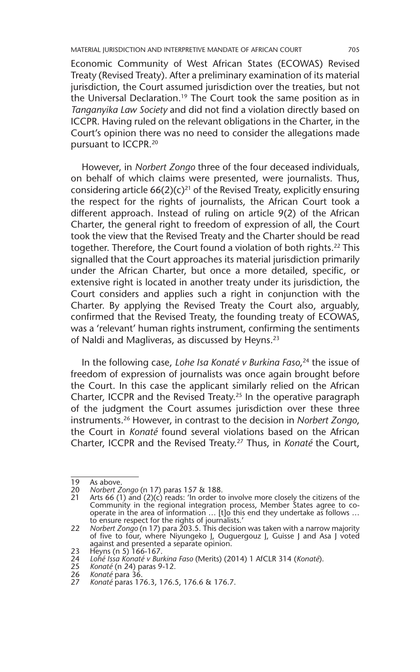Economic Community of West African States (ECOWAS) Revised Treaty (Revised Treaty). After a preliminary examination of its material jurisdiction, the Court assumed jurisdiction over the treaties, but not the Universal Declaration.19 The Court took the same position as in *Tanganyika Law Society* and did not find a violation directly based on ICCPR. Having ruled on the relevant obligations in the Charter, in the Court's opinion there was no need to consider the allegations made pursuant to ICCPR.20

However, in *Norbert Zongo* three of the four deceased individuals, on behalf of which claims were presented, were journalists. Thus, considering article  $66(2)(c)^{21}$  of the Revised Treaty, explicitly ensuring the respect for the rights of journalists, the African Court took a different approach. Instead of ruling on article 9(2) of the African Charter, the general right to freedom of expression of all, the Court took the view that the Revised Treaty and the Charter should be read together. Therefore, the Court found a violation of both rights.<sup>22</sup> This signalled that the Court approaches its material jurisdiction primarily under the African Charter, but once a more detailed, specific, or extensive right is located in another treaty under its jurisdiction, the Court considers and applies such a right in conjunction with the Charter. By applying the Revised Treaty the Court also, arguably, confirmed that the Revised Treaty, the founding treaty of ECOWAS, was a 'relevant' human rights instrument, confirming the sentiments of Naldi and Magliveras, as discussed by Heyns.23

In the following case, *Lohe Isa Konaté v Burkina Faso*, 24 the issue of freedom of expression of journalists was once again brought before the Court. In this case the applicant similarly relied on the African Charter, ICCPR and the Revised Treaty.25 In the operative paragraph of the judgment the Court assumes jurisdiction over these three instruments.26 However, in contrast to the decision in *Norbert Zongo*, the Court in *Konaté* found several violations based on the African Charter, ICCPR and the Revised Treaty.27 Thus, in *Konaté* the Court,

<sup>19</sup> As above.<br>20 Norbert Zo

<sup>20</sup> *Norbert Zongo* (n 17) paras 157 & 188.

<sup>21</sup> Arts 66 (1) and (2)(c) reads: 'In order to involve more closely the citizens of the Community in the regional integration process, Member States agree to cooperate in the area of information ... [t]o this end they undertake as follows ... to ensure respect for the rights of journalists.'

<sup>22</sup> *Norbert Zongo* (n 17) para 203.5. This decision was taken with a narrow majority of five to four, where Niyungeko J, Ouguergouz J, Guisse J and Asa J voted against and presented a separate opinion. 23 Heyns (n 5) 166-167.

<sup>24</sup> *Lohé Issa Konaté v Burkina Faso* (Merits) (2014) 1 AfCLR 314 (*Konaté*).

<sup>25</sup> *Konaté* (n 24) paras 9-12.

<sup>26</sup> *Konaté* para 36.

<sup>27</sup> *Konaté* paras 176.3, 176.5, 176.6 & 176.7.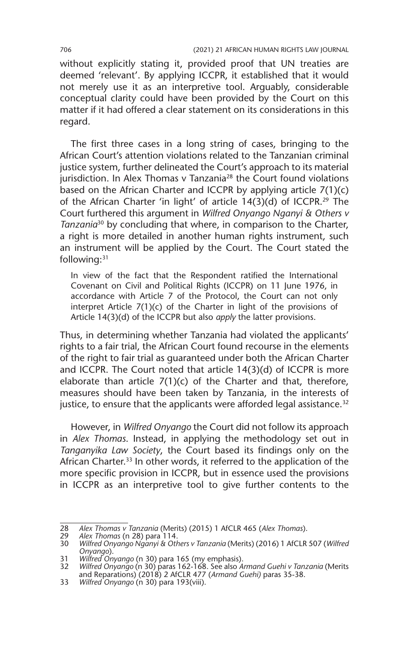without explicitly stating it, provided proof that UN treaties are deemed 'relevant'. By applying ICCPR, it established that it would not merely use it as an interpretive tool. Arguably, considerable conceptual clarity could have been provided by the Court on this matter if it had offered a clear statement on its considerations in this regard.

The first three cases in a long string of cases, bringing to the African Court's attention violations related to the Tanzanian criminal justice system, further delineated the Court's approach to its material jurisdiction. In Alex Thomas v Tanzania<sup>28</sup> the Court found violations based on the African Charter and ICCPR by applying article 7(1)(c) of the African Charter 'in light' of article 14(3)(d) of ICCPR.29 The Court furthered this argument in *Wilfred Onyango Nganyi & Others v Tanzania*30 by concluding that where, in comparison to the Charter, a right is more detailed in another human rights instrument, such an instrument will be applied by the Court. The Court stated the following:31

In view of the fact that the Respondent ratified the International Covenant on Civil and Political Rights (ICCPR) on 11 June 1976, in accordance with Article 7 of the Protocol, the Court can not only interpret Article 7(1)(c) of the Charter in light of the provisions of Article 14(3)(d) of the ICCPR but also *apply* the latter provisions.

Thus, in determining whether Tanzania had violated the applicants' rights to a fair trial, the African Court found recourse in the elements of the right to fair trial as guaranteed under both the African Charter and ICCPR. The Court noted that article 14(3)(d) of ICCPR is more elaborate than article  $7(1)(c)$  of the Charter and that, therefore, measures should have been taken by Tanzania, in the interests of justice, to ensure that the applicants were afforded legal assistance.<sup>32</sup>

However, in *Wilfred Onyango* the Court did not follow its approach in *Alex Thomas*. Instead, in applying the methodology set out in *Tanganyika Law Society*, the Court based its findings only on the African Charter.<sup>33</sup> In other words, it referred to the application of the more specific provision in ICCPR, but in essence used the provisions in ICCPR as an interpretive tool to give further contents to the

<sup>28</sup> *Alex Thomas v Tanzania* (Merits) (2015) 1 AfCLR 465 (*Alex Thomas*).

<sup>29</sup> *Alex Thomas* (n 28) para 114.

<sup>30</sup> *Wilfred Onyango Nganyi & Others v Tanzania* (Merits) (2016) 1 AfCLR 507 (*Wilfred Onyango*).

<sup>31</sup> *Wilfred Onyango* (n 30) para 165 (my emphasis).

<sup>32</sup> *Wilfred Onyango* (n 30) paras 162-168. See also *Armand Guehi v Tanzania* (Merits and Reparations) (2018) 2 AfCLR 477 (*Armand Guehi)* paras 35-38.

<sup>33</sup> *Wilfred Onyango* (n 30) para 193(viii).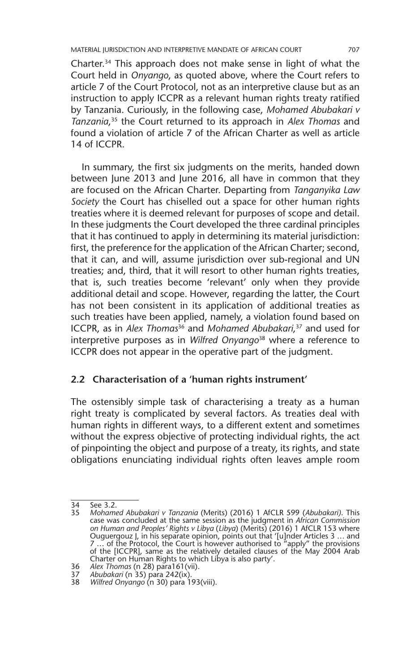MATERIAL JURISDICTION AND INTERPRETIVE MANDATE OF AFRICAN COURT 707

Charter.34 This approach does not make sense in light of what the Court held in *Onyango*, as quoted above, where the Court refers to article 7 of the Court Protocol, not as an interpretive clause but as an instruction to apply ICCPR as a relevant human rights treaty ratified by Tanzania. Curiously, in the following case, *Mohamed Abubakari v Tanzania*, 35 the Court returned to its approach in *Alex Thomas* and found a violation of article 7 of the African Charter as well as article 14 of ICCPR.

In summary, the first six judgments on the merits, handed down between June 2013 and June 2016, all have in common that they are focused on the African Charter. Departing from *Tanganyika Law Society* the Court has chiselled out a space for other human rights treaties where it is deemed relevant for purposes of scope and detail. In these judgments the Court developed the three cardinal principles that it has continued to apply in determining its material jurisdiction: first, the preference for the application of the African Charter; second, that it can, and will, assume jurisdiction over sub-regional and UN treaties; and, third, that it will resort to other human rights treaties, that is, such treaties become 'relevant' only when they provide additional detail and scope. However, regarding the latter, the Court has not been consistent in its application of additional treaties as such treaties have been applied, namely, a violation found based on ICCPR, as in *Alex Thomas*36 and *Mohamed Abubakari*, 37 and used for interpretive purposes as in *Wilfred Onyango*38 where a reference to ICCPR does not appear in the operative part of the judgment.

#### **2.2 Characterisation of a 'human rights instrument'**

The ostensibly simple task of characterising a treaty as a human right treaty is complicated by several factors. As treaties deal with human rights in different ways, to a different extent and sometimes without the express objective of protecting individual rights, the act of pinpointing the object and purpose of a treaty, its rights, and state obligations enunciating individual rights often leaves ample room

<sup>34</sup> See 3.2.<br>35 Mohame

<sup>35</sup> *Mohamed Abubakari v Tanzania* (Merits) (2016) 1 AfCLR 599 (*Abubakari)*. This case was concluded at the same session as the judgment in *African Commission on Human and Peoples' Rights v Libya* (*Libya*) (Merits) (2016) 1 AfCLR 153 where Ouguergouz J, in his separate opinion, points out that '[u]nder Articles 3 … and 7 … of the Protocol, the Court is however authorised to "apply" the provisions of the [ICCPR], same as the relatively detailed clauses of the May 2004 Arab Charter on Human Rights to which Libya is also party'.

<sup>36</sup> *Alex Thomas* (n 28) para161(vii).

<sup>37</sup> *Abubakari* (n 35) para 242(ix).

<sup>38</sup> *Wilfred Onyango* (n 30) para 193(viii).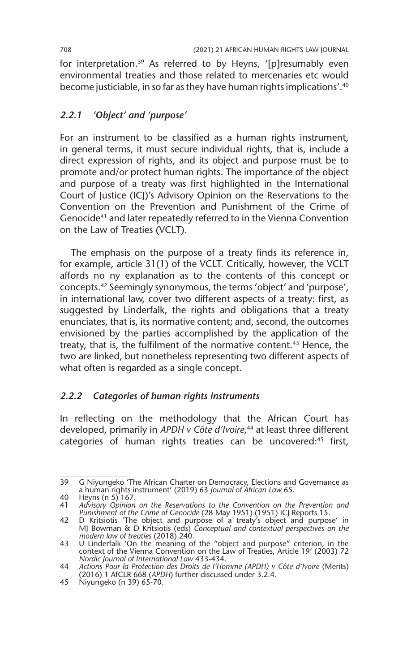for interpretation.39 As referred to by Heyns, '[p]resumably even environmental treaties and those related to mercenaries etc would become justiciable, in so far as they have human rights implications'.40

#### *2.2.1 'Object' and 'purpose'*

For an instrument to be classified as a human rights instrument, in general terms, it must secure individual rights, that is, include a direct expression of rights, and its object and purpose must be to promote and/or protect human rights. The importance of the object and purpose of a treaty was first highlighted in the International Court of Justice (ICJ)'s Advisory Opinion on the Reservations to the Convention on the Prevention and Punishment of the Crime of Genocide41 and later repeatedly referred to in the Vienna Convention on the Law of Treaties (VCLT).

The emphasis on the purpose of a treaty finds its reference in, for example, article 31(1) of the VCLT. Critically, however, the VCLT affords no ny explanation as to the contents of this concept or concepts.42 Seemingly synonymous, the terms 'object' and 'purpose', in international law, cover two different aspects of a treaty: first, as suggested by Linderfalk, the rights and obligations that a treaty enunciates, that is, its normative content; and, second, the outcomes envisioned by the parties accomplished by the application of the treaty, that is, the fulfilment of the normative content.<sup>43</sup> Hence, the two are linked, but nonetheless representing two different aspects of what often is regarded as a single concept.

## *2.2.2 Categories of human rights instruments*

In reflecting on the methodology that the African Court has developed, primarily in *APDH v Côte d'Ivoire*, 44 at least three different categories of human rights treaties can be uncovered:<sup>45</sup> first,

<sup>39</sup> G Niyungeko 'The African Charter on Democracy, Elections and Governance as a human rights instrument' (2019) 63 *Journal of African Law* 65.

<sup>40</sup> Heyns (n  $5\overline{\smash{)}167}$ .<br>41 Advisory Opinion 41 *Advisory Opinion on the Reservations to the Convention on the Prevention and Punishment of the Crime of Genocide* (28 May 1951) (1951) ICJ Reports 15.

<sup>42</sup> D Kritsiotis 'The object and purpose of a treaty's object and purpose' in MJ Bowman & D Kritsiotis (eds) *Conceptual and contextual perspectives on the modern law of treaties* (2018) 240.

<sup>43</sup> U Linderfalk 'On the meaning of the "object and purpose" criterion, in the context of the Vienna Convention on the Law of Treaties, Article 19' (2003) 72 *Nordic Journal of International Law* 433-434.

<sup>44</sup> *Actions Pour la Protection des Droits de l'Homme (APDH) v Côte d'Ivoire* (Merits) (2016) 1 AfCLR 668 (*APDH*) further discussed under 3.2.4.

<sup>45</sup> Niyungeko (n 39) 65-70.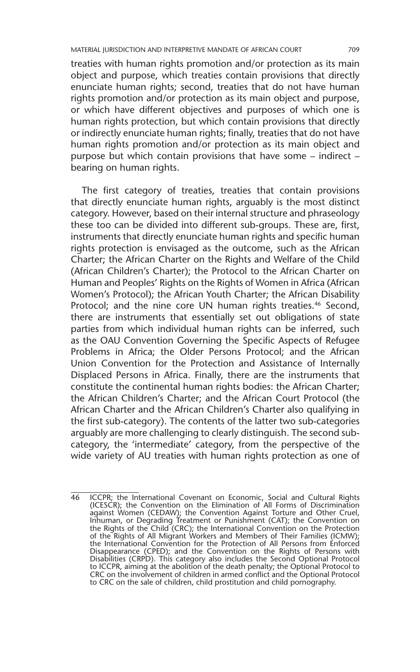MATERIAL JURISDICTION AND INTERPRETIVE MANDATE OF AFRICAN COURT 709

treaties with human rights promotion and/or protection as its main object and purpose, which treaties contain provisions that directly enunciate human rights; second, treaties that do not have human rights promotion and/or protection as its main object and purpose, or which have different objectives and purposes of which one is human rights protection, but which contain provisions that directly or indirectly enunciate human rights; finally, treaties that do not have human rights promotion and/or protection as its main object and purpose but which contain provisions that have some – indirect – bearing on human rights.

The first category of treaties, treaties that contain provisions that directly enunciate human rights, arguably is the most distinct category. However, based on their internal structure and phraseology these too can be divided into different sub-groups. These are, first, instruments that directly enunciate human rights and specific human rights protection is envisaged as the outcome, such as the African Charter; the African Charter on the Rights and Welfare of the Child (African Children's Charter); the Protocol to the African Charter on Human and Peoples' Rights on the Rights of Women in Africa (African Women's Protocol); the African Youth Charter; the African Disability Protocol; and the nine core UN human rights treaties.<sup>46</sup> Second, there are instruments that essentially set out obligations of state parties from which individual human rights can be inferred, such as the OAU Convention Governing the Specific Aspects of Refugee Problems in Africa; the Older Persons Protocol; and the African Union Convention for the Protection and Assistance of Internally Displaced Persons in Africa. Finally, there are the instruments that constitute the continental human rights bodies: the African Charter; the African Children's Charter; and the African Court Protocol (the African Charter and the African Children's Charter also qualifying in the first sub-category). The contents of the latter two sub-categories arguably are more challenging to clearly distinguish. The second subcategory, the 'intermediate' category, from the perspective of the wide variety of AU treaties with human rights protection as one of

<sup>46</sup> ICCPR; the International Covenant on Economic, Social and Cultural Rights (ICESCR); the Convention on the Elimination of All Forms of Discrimination against Women (CEDAW); the Convention Against Torture and Other Cruel, Inhuman, or Degrading Treatment or Punishment (CAT); the Convention on the Rights of the Child (CRC); the International Convention on the Protection of the Rights of All Migrant Workers and Members of Their Families (ICMW); the International Convention for the Protection of All Persons from Enforced<br>Disappearance (CPED); and the Convention on the Rights of Persons with<br>Disabilities (CRPD). This category also includes the Second Optional Proto to ICCPR, aiming at the abolition of the death penalty; the Optional Protocol to CRC on the involvement of children in armed conflict and the Optional Protocol to CRC on the sale of children, child prostitution and child pornography.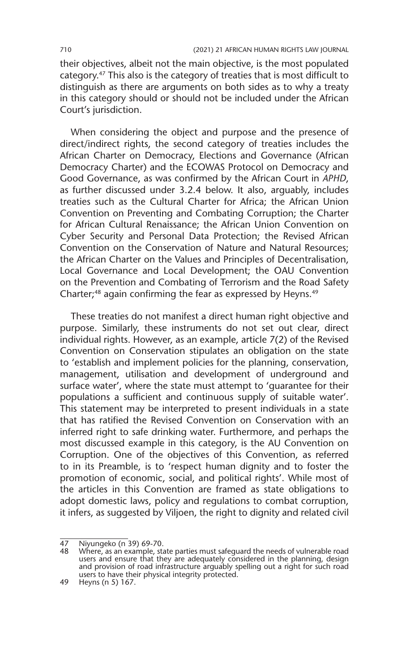their objectives, albeit not the main objective, is the most populated category.47 This also is the category of treaties that is most difficult to distinguish as there are arguments on both sides as to why a treaty in this category should or should not be included under the African Court's jurisdiction.

When considering the object and purpose and the presence of direct/indirect rights, the second category of treaties includes the African Charter on Democracy, Elections and Governance (African Democracy Charter) and the ECOWAS Protocol on Democracy and Good Governance, as was confirmed by the African Court in *APHD*, as further discussed under 3.2.4 below. It also, arguably, includes treaties such as the Cultural Charter for Africa; the African Union Convention on Preventing and Combating Corruption; the Charter for African Cultural Renaissance; the African Union Convention on Cyber Security and Personal Data Protection; the Revised African Convention on the Conservation of Nature and Natural Resources; the African Charter on the Values and Principles of Decentralisation, Local Governance and Local Development; the OAU Convention on the Prevention and Combating of Terrorism and the Road Safety Charter;<sup>48</sup> again confirming the fear as expressed by Heyns.<sup>49</sup>

These treaties do not manifest a direct human right objective and purpose. Similarly, these instruments do not set out clear, direct individual rights. However, as an example, article 7(2) of the Revised Convention on Conservation stipulates an obligation on the state to 'establish and implement policies for the planning, conservation, management, utilisation and development of underground and surface water', where the state must attempt to 'guarantee for their populations a sufficient and continuous supply of suitable water'. This statement may be interpreted to present individuals in a state that has ratified the Revised Convention on Conservation with an inferred right to safe drinking water. Furthermore, and perhaps the most discussed example in this category, is the AU Convention on Corruption. One of the objectives of this Convention, as referred to in its Preamble, is to 'respect human dignity and to foster the promotion of economic, social, and political rights'. While most of the articles in this Convention are framed as state obligations to adopt domestic laws, policy and regulations to combat corruption, it infers, as suggested by Viljoen, the right to dignity and related civil

<sup>47</sup> Niyungeko (n 39) 69-70.<br>48 Mbere as an example sta

<sup>48</sup> Where, as an example, state parties must safeguard the needs of vulnerable road users and ensure that they are adequately considered in the planning, design and provision of road infrastructure arguably spelling out a right for such road users to have their physical integrity protected.

<sup>49</sup> Heyns (n 5) 167.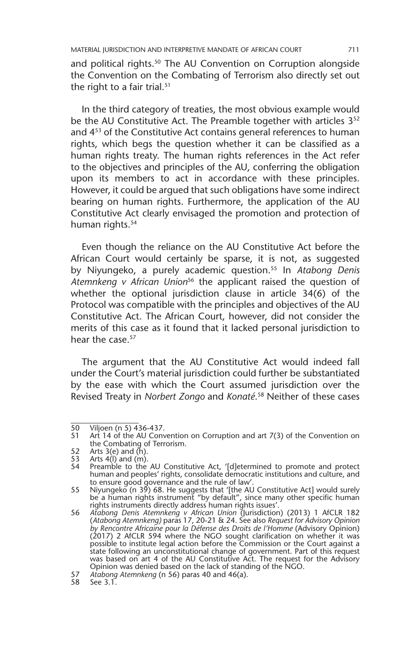and political rights.<sup>50</sup> The AU Convention on Corruption alongside the Convention on the Combating of Terrorism also directly set out the right to a fair trial.<sup>51</sup>

In the third category of treaties, the most obvious example would be the AU Constitutive Act. The Preamble together with articles 3<sup>52</sup> and 4<sup>53</sup> of the Constitutive Act contains general references to human rights, which begs the question whether it can be classified as a human rights treaty. The human rights references in the Act refer to the objectives and principles of the AU, conferring the obligation upon its members to act in accordance with these principles. However, it could be argued that such obligations have some indirect bearing on human rights. Furthermore, the application of the AU Constitutive Act clearly envisaged the promotion and protection of human rights.<sup>54</sup>

Even though the reliance on the AU Constitutive Act before the African Court would certainly be sparse, it is not, as suggested by Niyungeko, a purely academic question.55 In *Atabong Denis Atemnkeng v African Union*56 the applicant raised the question of whether the optional jurisdiction clause in article 34(6) of the Protocol was compatible with the principles and objectives of the AU Constitutive Act. The African Court, however, did not consider the merits of this case as it found that it lacked personal jurisdiction to hear the case 57

The argument that the AU Constitutive Act would indeed fall under the Court's material jurisdiction could further be substantiated by the ease with which the Court assumed jurisdiction over the Revised Treaty in *Norbert Zongo* and *Konaté*. 58 Neither of these cases

<sup>50</sup> Viljoen (n 5) 436-437.

<sup>51</sup> Art 14 of the AU Convention on Corruption and art 7(3) of the Convention on the Combating of Terrorism.

<sup>52</sup> Arts 3(e) and  $(h)$ .<br>53 Arts 4(l) and  $(m)$ .

<sup>53</sup> Arts 4(I) and (m).<br>54 Preamble to the

Preamble to the AU Constitutive Act, '[d]etermined to promote and protect human and peoples' rights, consolidate democratic institutions and culture, and to ensure good governance and the rule of law'.

<sup>55</sup> Niyungeko (n 39) 68. He suggests that '[the AU Constitutive Act] would surely be a human rights instrument "by default", since many other specific human rights instruments directly address human rights issues'.

<sup>56</sup> *Atabong Denis Atemnkeng v African Union* (Jurisdiction) (2013) 1 AfCLR 182 (*Atabong Atemnkeng)* paras 17, 20-21 & 24. See also *Request for Advisory Opinion by Rencontre Africaine pour la Défense des Droits de l'Homme* (Advisory Opinion) (2017) 2 AfCLR 594 where the NGO sought clarification on whether it was possible to institute legal action before the Commission or the Court against a state following an unconstitutional change of government. Part of this request was based on art 4 of the AU Constitutive Act. The request for the Advisory Opinion was denied based on the lack of standing of the NGO.

<sup>57</sup> *Atabong Atemnkeng* (n 56) paras 40 and 46(a).

<sup>58</sup> See 3.1.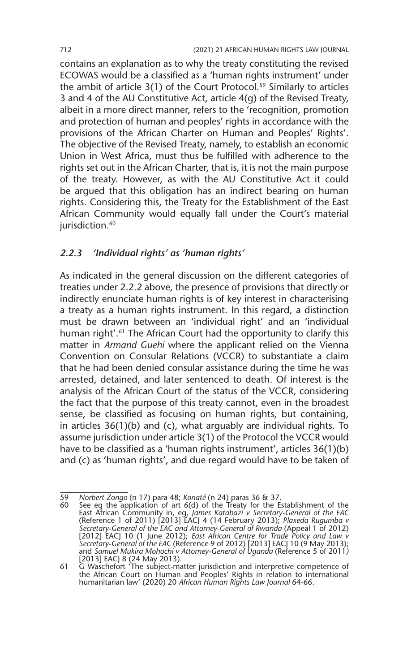contains an explanation as to why the treaty constituting the revised ECOWAS would be a classified as a 'human rights instrument' under the ambit of article 3(1) of the Court Protocol.<sup>59</sup> Similarly to articles 3 and 4 of the AU Constitutive Act, article 4(g) of the Revised Treaty, albeit in a more direct manner, refers to the 'recognition, promotion and protection of human and peoples' rights in accordance with the provisions of the African Charter on Human and Peoples' Rights'. The objective of the Revised Treaty, namely, to establish an economic Union in West Africa, must thus be fulfilled with adherence to the rights set out in the African Charter, that is, it is not the main purpose of the treaty. However, as with the AU Constitutive Act it could be argued that this obligation has an indirect bearing on human rights. Considering this, the Treaty for the Establishment of the East African Community would equally fall under the Court's material jurisdiction.<sup>60</sup>

#### *2.2.3 'Individual rights' as 'human rights'*

As indicated in the general discussion on the different categories of treaties under 2.2.2 above, the presence of provisions that directly or indirectly enunciate human rights is of key interest in characterising a treaty as a human rights instrument. In this regard, a distinction must be drawn between an 'individual right' and an 'individual human right'.<sup>61</sup> The African Court had the opportunity to clarify this matter in *Armand Guehi* where the applicant relied on the Vienna Convention on Consular Relations (VCCR) to substantiate a claim that he had been denied consular assistance during the time he was arrested, detained, and later sentenced to death. Of interest is the analysis of the African Court of the status of the VCCR, considering the fact that the purpose of this treaty cannot, even in the broadest sense, be classified as focusing on human rights, but containing, in articles 36(1)(b) and (c), what arguably are individual rights. To assume jurisdiction under article 3(1) of the Protocol the VCCR would have to be classified as a 'human rights instrument', articles 36(1)(b) and (c) as 'human rights', and due regard would have to be taken of

<sup>59</sup> *Norbert Zongo* (n 17) para 48; *Konaté* (n 24) paras 36 & 37.

<sup>60</sup> See eg the application of art 6(d) of the Treaty for the Establishment of the East African Community in, eg, *James Katabazi v Secretary-General of the EAC* (Reference 1 of 2011) [2013] EACJ 4 (14 February 2013); *Plaxeda Rugumba v Secretary-General of the EAC and Attorney-General of Rwanda* (Appeal 1 of 2012) [2012] EACJ 10 (1 June 2012); *East African Centre for Trade Policy and Law v Secretary-General of the EAC* (Reference 9 of 2012) [2013] EACJ 10 (9 May 2013); and *Samuel Mukira Mohochi v Attorney-General of Uganda* (Reference 5 of 2011*)*  [2013] EACJ 8 (24 May 2013).

<sup>61</sup> G Waschefort 'The subject-matter jurisdiction and interpretive competence of the African Court on Human and Peoples' Rights in relation to international humanitarian law' (2020) 20 *African Human Rights Law Journal* 64-66.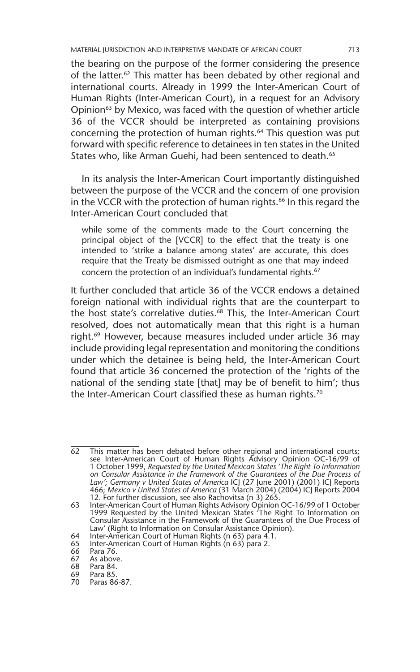MATERIAL JURISDICTION AND INTERPRETIVE MANDATE OF AFRICAN COURT 713

the bearing on the purpose of the former considering the presence of the latter.62 This matter has been debated by other regional and international courts. Already in 1999 the Inter-American Court of Human Rights (Inter-American Court), in a request for an Advisory Opinion<sup>63</sup> by Mexico, was faced with the question of whether article 36 of the VCCR should be interpreted as containing provisions concerning the protection of human rights.<sup>64</sup> This question was put forward with specific reference to detainees in ten states in the United States who, like Arman Guehi, had been sentenced to death.<sup>65</sup>

In its analysis the Inter-American Court importantly distinguished between the purpose of the VCCR and the concern of one provision in the VCCR with the protection of human rights.<sup>66</sup> In this regard the Inter-American Court concluded that

while some of the comments made to the Court concerning the principal object of the [VCCR] to the effect that the treaty is one intended to 'strike a balance among states' are accurate, this does require that the Treaty be dismissed outright as one that may indeed concern the protection of an individual's fundamental rights.<sup>67</sup>

It further concluded that article 36 of the VCCR endows a detained foreign national with individual rights that are the counterpart to the host state's correlative duties.<sup>68</sup> This, the Inter-American Court resolved, does not automatically mean that this right is a human right.<sup>69</sup> However, because measures included under article 36 may include providing legal representation and monitoring the conditions under which the detainee is being held, the Inter-American Court found that article 36 concerned the protection of the 'rights of the national of the sending state [that] may be of benefit to him'; thus the Inter-American Court classified these as human rights.<sup>70</sup>

<sup>62</sup> This matter has been debated before other regional and international courts; see Inter-American Court of Human Rights Advisory Opinion OC-16/99 of 1 October 1999, *Requested by the United Mexican States 'The Right To Information on Consular Assistance in the Framework of the Guarantees of the Due Process of Law'; Germany v United States of America* ICJ (27 June 2001) (2001) ICJ Reports 466; *Mexico v United States of America* (31 March 2004) (2004) ICJ Reports 2004 12. For further discussion, see also Rachovitsa (n 3) 265.

<sup>63</sup> Inter-American Court of Human Rights Advisory Opinion OC-16/99 of 1 October 1999 Requested by the United Mexican States 'The Right To Information on Consular Assistance in the Framework of the Guarantees of the Due Process of Law' (Right to Information on Consular Assistance Opinion).

<sup>64</sup> Inter-American Court of Human Rights (n 63) para 4.1.

<sup>65</sup> Inter-American Court of Human Rights (n 63) para 2.

<sup>66</sup> Para 76.

<sup>67</sup> As above.

<sup>68</sup> Para 84. Para 85.

<sup>70</sup> Paras 86-87.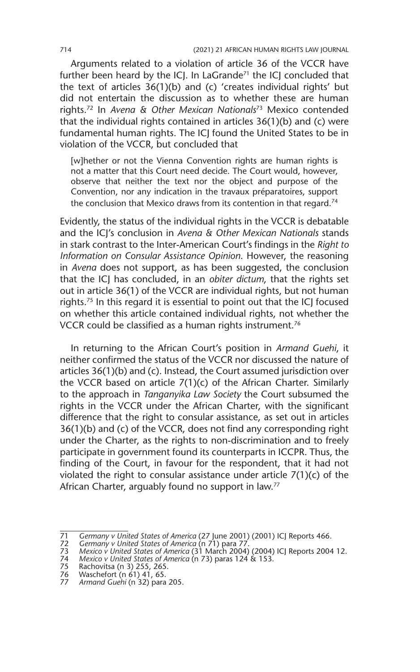Arguments related to a violation of article 36 of the VCCR have further been heard by the ICJ. In LaGrande<sup>71</sup> the ICJ concluded that the text of articles 36(1)(b) and (c) 'creates individual rights' but did not entertain the discussion as to whether these are human rights.72 In *Avena & Other Mexican Nationals*73 Mexico contended that the individual rights contained in articles 36(1)(b) and (c) were fundamental human rights. The ICJ found the United States to be in violation of the VCCR, but concluded that

[w]hether or not the Vienna Convention rights are human rights is not a matter that this Court need decide. The Court would, however, observe that neither the text nor the object and purpose of the Convention, nor any indication in the travaux préparatoires, support the conclusion that Mexico draws from its contention in that regard.<sup>74</sup>

Evidently, the status of the individual rights in the VCCR is debatable and the ICJ's conclusion in *Avena & Other Mexican Nationals* stands in stark contrast to the Inter-American Court's findings in the *Right to Information on Consular Assistance Opinion*. However, the reasoning in *Avena* does not support, as has been suggested, the conclusion that the ICJ has concluded, in an *obiter dictum*, that the rights set out in article 36(1) of the VCCR are individual rights, but not human rights.<sup>75</sup> In this regard it is essential to point out that the ICJ focused on whether this article contained individual rights, not whether the VCCR could be classified as a human rights instrument.76

In returning to the African Court's position in *Armand Guehi*, it neither confirmed the status of the VCCR nor discussed the nature of articles 36(1)(b) and (c). Instead, the Court assumed jurisdiction over the VCCR based on article 7(1)(c) of the African Charter. Similarly to the approach in *Tanganyika Law Society* the Court subsumed the rights in the VCCR under the African Charter, with the significant difference that the right to consular assistance, as set out in articles 36(1)(b) and (c) of the VCCR, does not find any corresponding right under the Charter, as the rights to non-discrimination and to freely participate in government found its counterparts in ICCPR. Thus, the finding of the Court, in favour for the respondent, that it had not violated the right to consular assistance under article 7(1)(c) of the African Charter, arguably found no support in law.<sup>77</sup>

<sup>71</sup> *Germany v United States of America* (27 June 2001) (2001) ICJ Reports 466.

<sup>72</sup> *Germany v United States of America* (n 71) para 77. 73 *Mexico v United States of America* (31 March 2004) (2004) ICJ Reports 2004 12. 74 *Mexico v United States of America* (n 73) paras 124 & 153.

<sup>75</sup> Rachovitsa (n 3) 255, 265.

<sup>76</sup> Waschefort (n 61) 41, 65.

<sup>77</sup> *Armand Guehi* (n 32) para 205.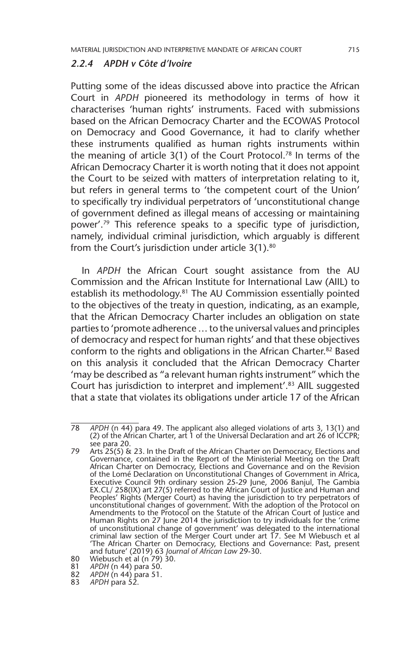#### *2.2.4 APDH v Côte d'Ivoire*

Putting some of the ideas discussed above into practice the African Court in *APDH* pioneered its methodology in terms of how it characterises 'human rights' instruments. Faced with submissions based on the African Democracy Charter and the ECOWAS Protocol on Democracy and Good Governance, it had to clarify whether these instruments qualified as human rights instruments within the meaning of article  $3(1)$  of the Court Protocol.<sup>78</sup> In terms of the African Democracy Charter it is worth noting that it does not appoint the Court to be seized with matters of interpretation relating to it, but refers in general terms to 'the competent court of the Union' to specifically try individual perpetrators of 'unconstitutional change of government defined as illegal means of accessing or maintaining power'.79 This reference speaks to a specific type of jurisdiction, namely, individual criminal jurisdiction, which arguably is different from the Court's jurisdiction under article 3(1).<sup>80</sup>

In *APDH* the African Court sought assistance from the AU Commission and the African Institute for International Law (AIIL) to establish its methodology.<sup>81</sup> The AU Commission essentially pointed to the objectives of the treaty in question, indicating, as an example, that the African Democracy Charter includes an obligation on state parties to 'promote adherence … to the universal values and principles of democracy and respect for human rights' and that these objectives conform to the rights and obligations in the African Charter.82 Based on this analysis it concluded that the African Democracy Charter 'may be described as "a relevant human rights instrument" which the Court has jurisdiction to interpret and implement'.<sup>83</sup> AIIL suggested that a state that violates its obligations under article 17 of the African

<sup>78</sup> *APDH* (n 44) para 49. The applicant also alleged violations of arts 3, 13(1) and (2) of the African Charter, art 1 of the Universal Declaration and art 26 of ICCPR; see para 20.

<sup>79</sup> Arts 25(5) & 23. In the Draft of the African Charter on Democracy, Elections and Governance, contained in the Report of the Ministerial Meeting on the Draft African Charter on Democracy, Elections and Governance and on the Revision of the Lomé Declaration on Unconstitutional Changes of Government in Africa, Executive Council 9th ordinary session 25-29 June, 2006 Banjul, The Gambia EX.CL/ 258(IX) art 27(5) referred to the African Court of Justice and Human and Peoples' Rights (Merger Court) as having the jurisdiction to try perpetrators of unconstitutional changes of government. With the adoption of the Protocol on Amendments to the Protocol on the Statute of the African Court of Justice and Human Rights on 27 June 2014 the jurisdiction to try individuals for the 'crime of unconstitutional change of government' was delegated to the international criminal law section of the Merger Court under art 17. See M Wiebusch et al 'The African Charter on Democracy, Elections and Governance: Past, present and future' (2019) 63 *Journal of African Law* 29-30. 80 Wiebusch et al (n 79) 30.

<sup>81</sup> *APDH* (n 44) para 50.

<sup>82</sup> *APDH* (n 44) para 51.

<sup>83</sup> *APDH* para 52.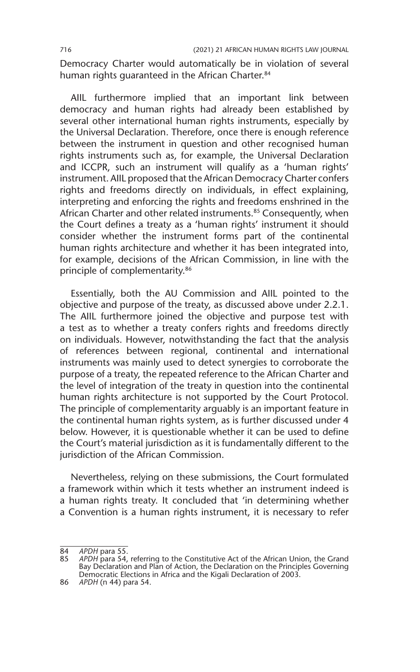Democracy Charter would automatically be in violation of several human rights quaranteed in the African Charter.<sup>84</sup>

AIIL furthermore implied that an important link between democracy and human rights had already been established by several other international human rights instruments, especially by the Universal Declaration. Therefore, once there is enough reference between the instrument in question and other recognised human rights instruments such as, for example, the Universal Declaration and ICCPR, such an instrument will qualify as a 'human rights' instrument. AIIL proposed that the African Democracy Charter confers rights and freedoms directly on individuals, in effect explaining, interpreting and enforcing the rights and freedoms enshrined in the African Charter and other related instruments.<sup>85</sup> Consequently, when the Court defines a treaty as a 'human rights' instrument it should consider whether the instrument forms part of the continental human rights architecture and whether it has been integrated into, for example, decisions of the African Commission, in line with the principle of complementarity.86

Essentially, both the AU Commission and AIIL pointed to the objective and purpose of the treaty, as discussed above under 2.2.1. The AIIL furthermore joined the objective and purpose test with a test as to whether a treaty confers rights and freedoms directly on individuals. However, notwithstanding the fact that the analysis of references between regional, continental and international instruments was mainly used to detect synergies to corroborate the purpose of a treaty, the repeated reference to the African Charter and the level of integration of the treaty in question into the continental human rights architecture is not supported by the Court Protocol. The principle of complementarity arguably is an important feature in the continental human rights system, as is further discussed under 4 below. However, it is questionable whether it can be used to define the Court's material jurisdiction as it is fundamentally different to the jurisdiction of the African Commission.

Nevertheless, relying on these submissions, the Court formulated a framework within which it tests whether an instrument indeed is a human rights treaty. It concluded that 'in determining whether a Convention is a human rights instrument, it is necessary to refer

<sup>84</sup> *APDH* para 55.

<sup>85</sup> *APDH* para 54, referring to the Constitutive Act of the African Union, the Grand Bay Declaration and Plan of Action, the Declaration on the Principles Governing Democratic Elections in Africa and the Kigali Declaration of 2003.

<sup>86</sup> *APDH* (n 44) para 54.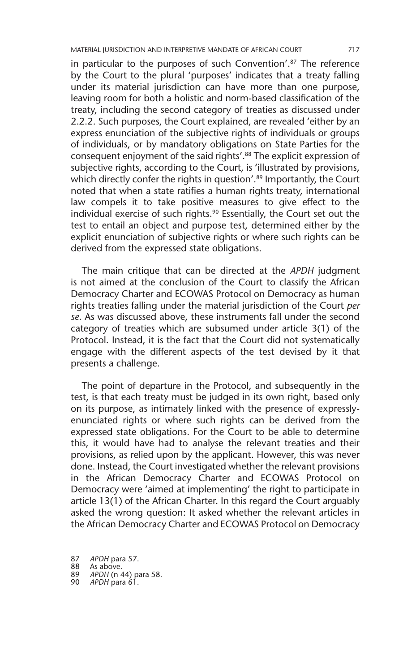in particular to the purposes of such Convention'. $87$  The reference by the Court to the plural 'purposes' indicates that a treaty falling under its material jurisdiction can have more than one purpose, leaving room for both a holistic and norm-based classification of the treaty, including the second category of treaties as discussed under 2.2.2. Such purposes, the Court explained, are revealed 'either by an express enunciation of the subjective rights of individuals or groups of individuals, or by mandatory obligations on State Parties for the consequent enjoyment of the said rights'.88 The explicit expression of subjective rights, according to the Court, is 'illustrated by provisions, which directly confer the rights in question'.<sup>89</sup> Importantly, the Court noted that when a state ratifies a human rights treaty, international law compels it to take positive measures to give effect to the individual exercise of such rights.<sup>90</sup> Essentially, the Court set out the test to entail an object and purpose test, determined either by the explicit enunciation of subjective rights or where such rights can be derived from the expressed state obligations.

The main critique that can be directed at the *APDH* judgment is not aimed at the conclusion of the Court to classify the African Democracy Charter and ECOWAS Protocol on Democracy as human rights treaties falling under the material jurisdiction of the Court *per se*. As was discussed above, these instruments fall under the second category of treaties which are subsumed under article 3(1) of the Protocol. Instead, it is the fact that the Court did not systematically engage with the different aspects of the test devised by it that presents a challenge.

The point of departure in the Protocol, and subsequently in the test, is that each treaty must be judged in its own right, based only on its purpose, as intimately linked with the presence of expresslyenunciated rights or where such rights can be derived from the expressed state obligations. For the Court to be able to determine this, it would have had to analyse the relevant treaties and their provisions, as relied upon by the applicant. However, this was never done. Instead, the Court investigated whether the relevant provisions in the African Democracy Charter and ECOWAS Protocol on Democracy were 'aimed at implementing' the right to participate in article 13(1) of the African Charter. In this regard the Court arguably asked the wrong question: It asked whether the relevant articles in the African Democracy Charter and ECOWAS Protocol on Democracy

- 89 *APDH* (n 44) para 58.
- 90 *APDH* para 61.

<sup>87</sup> *APDH* para 57.

<sup>88</sup> As above.<br>89 APDH (n 4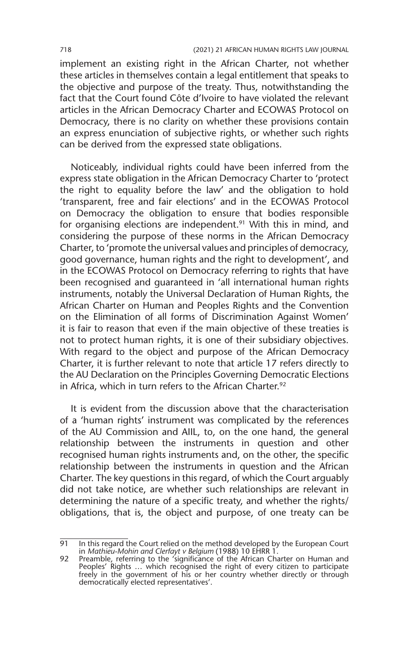implement an existing right in the African Charter, not whether these articles in themselves contain a legal entitlement that speaks to the objective and purpose of the treaty. Thus, notwithstanding the fact that the Court found Côte d'Ivoire to have violated the relevant articles in the African Democracy Charter and ECOWAS Protocol on Democracy, there is no clarity on whether these provisions contain an express enunciation of subjective rights, or whether such rights can be derived from the expressed state obligations.

Noticeably, individual rights could have been inferred from the express state obligation in the African Democracy Charter to 'protect the right to equality before the law' and the obligation to hold 'transparent, free and fair elections' and in the ECOWAS Protocol on Democracy the obligation to ensure that bodies responsible for organising elections are independent.<sup>91</sup> With this in mind, and considering the purpose of these norms in the African Democracy Charter, to 'promote the universal values and principles of democracy, good governance, human rights and the right to development', and in the ECOWAS Protocol on Democracy referring to rights that have been recognised and guaranteed in 'all international human rights instruments, notably the Universal Declaration of Human Rights, the African Charter on Human and Peoples Rights and the Convention on the Elimination of all forms of Discrimination Against Women' it is fair to reason that even if the main objective of these treaties is not to protect human rights, it is one of their subsidiary objectives. With regard to the object and purpose of the African Democracy Charter, it is further relevant to note that article 17 refers directly to the AU Declaration on the Principles Governing Democratic Elections in Africa, which in turn refers to the African Charter.<sup>92</sup>

It is evident from the discussion above that the characterisation of a 'human rights' instrument was complicated by the references of the AU Commission and AIIL, to, on the one hand, the general relationship between the instruments in question and other recognised human rights instruments and, on the other, the specific relationship between the instruments in question and the African Charter. The key questions in this regard, of which the Court arguably did not take notice, are whether such relationships are relevant in determining the nature of a specific treaty, and whether the rights/ obligations, that is, the object and purpose, of one treaty can be

<sup>91</sup> In this regard the Court relied on the method developed by the European Court in *Mathieu-Mohin and Clerfayt v Belgium* (1988) 10 EHRR 1. 92 Preamble, referring to the 'significance of the African Charter on Human and

Peoples' Rights … which recognised the right of every citizen to participate freely in the government of his or her country whether directly or through democratically elected representatives'.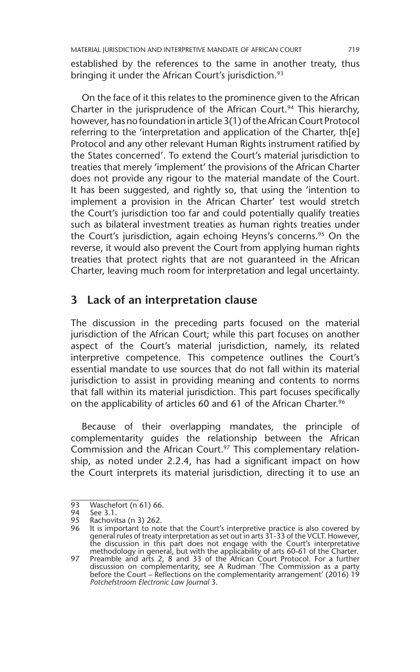established by the references to the same in another treaty, thus bringing it under the African Court's jurisdiction.<sup>93</sup>

On the face of it this relates to the prominence given to the African Charter in the jurisprudence of the African Court.<sup>94</sup> This hierarchy, however, has no foundation in article 3(1) of the African Court Protocol referring to the 'interpretation and application of the Charter, th[e] Protocol and any other relevant Human Rights instrument ratified by the States concerned'. To extend the Court's material jurisdiction to treaties that merely 'implement' the provisions of the African Charter does not provide any rigour to the material mandate of the Court. It has been suggested, and rightly so, that using the 'intention to implement a provision in the African Charter' test would stretch the Court's jurisdiction too far and could potentially qualify treaties such as bilateral investment treaties as human rights treaties under the Court's jurisdiction, again echoing Heyns's concerns.<sup>95</sup> On the reverse, it would also prevent the Court from applying human rights treaties that protect rights that are not guaranteed in the African Charter, leaving much room for interpretation and legal uncertainty.

## **3 Lack of an interpretation clause**

The discussion in the preceding parts focused on the material jurisdiction of the African Court; while this part focuses on another aspect of the Court's material jurisdiction, namely, its related interpretive competence. This competence outlines the Court's essential mandate to use sources that do not fall within its material jurisdiction to assist in providing meaning and contents to norms that fall within its material jurisdiction. This part focuses specifically on the applicability of articles 60 and 61 of the African Charter.<sup>96</sup>

Because of their overlapping mandates, the principle of complementarity guides the relationship between the African Commission and the African Court.<sup>97</sup> This complementary relationship, as noted under 2.2.4, has had a significant impact on how the Court interprets its material jurisdiction, directing it to use an

<sup>93</sup> Waschefort (n 61) 66.<br>94 See 3.1.

<sup>94</sup> See 3.1.<br>95 Rachovit<br>96 It is imp Rachovitsa (n 3) 262.

It is important to note that the Court's interpretive practice is also covered by general rules of treaty interpretation as set out in arts 31-33 of the VCLT. However, the discussion in this part does not engage with the Court's interpretative<br>methodology in general, but with the applicability of arts 60-61 of the Charter.<br>97 Preamble and arts 2, 8 and 33 of the African Court Protocol. F

discussion on complementarity, see A Rudman 'The Commission as a party before the Court – Reflections on the complementarity arrangement' (2016) 19 *Potchefstroom Electronic Law Journal* 3.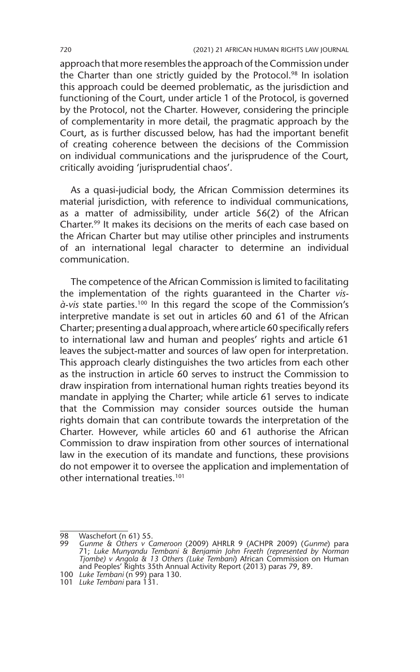approach that more resembles the approach of the Commission under the Charter than one strictly quided by the Protocol.<sup>98</sup> In isolation this approach could be deemed problematic, as the jurisdiction and functioning of the Court, under article 1 of the Protocol, is governed by the Protocol, not the Charter. However, considering the principle of complementarity in more detail, the pragmatic approach by the Court, as is further discussed below, has had the important benefit of creating coherence between the decisions of the Commission on individual communications and the jurisprudence of the Court, critically avoiding 'jurisprudential chaos'.

As a quasi-judicial body, the African Commission determines its material jurisdiction, with reference to individual communications, as a matter of admissibility, under article 56(2) of the African Charter.99 It makes its decisions on the merits of each case based on the African Charter but may utilise other principles and instruments of an international legal character to determine an individual communication.

The competence of the African Commission is limited to facilitating the implementation of the rights guaranteed in the Charter *vis-* $\hat{a}$ -vis state parties.<sup>100</sup> In this regard the scope of the Commission's interpretive mandate is set out in articles 60 and 61 of the African Charter; presenting a dual approach, where article 60 specifically refers to international law and human and peoples' rights and article 61 leaves the subject-matter and sources of law open for interpretation. This approach clearly distinguishes the two articles from each other as the instruction in article 60 serves to instruct the Commission to draw inspiration from international human rights treaties beyond its mandate in applying the Charter; while article 61 serves to indicate that the Commission may consider sources outside the human rights domain that can contribute towards the interpretation of the Charter. However, while articles 60 and 61 authorise the African Commission to draw inspiration from other sources of international law in the execution of its mandate and functions, these provisions do not empower it to oversee the application and implementation of other international treaties.<sup>101</sup>

<sup>98</sup> Waschefort  $(n\ 61)$  55.<br>99 Gunme & Others v Co

<sup>99</sup> Gunme & Others v Cameroon (2009) AHRLR 9 (ACHPR 2009) (Gunme) para<br>71; Luke Munyandu Tembani & Benjamin John Freeth (represented by Norman<br>Tjombe) v Angola & 13 Others (Luke Tembani) African Commission on Human and Peoples' Rights 35th Annual Activity Report (2013) paras 79, 89.

<sup>100</sup> *Luke Tembani* (n 99) para 130.

<sup>101</sup> *Luke Tembani* para 131.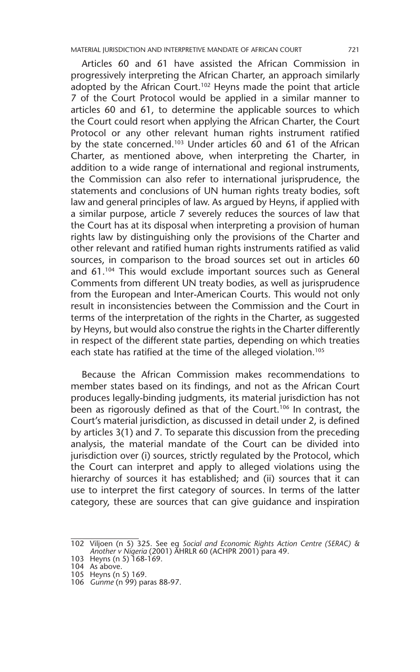Articles 60 and 61 have assisted the African Commission in progressively interpreting the African Charter, an approach similarly adopted by the African Court.<sup>102</sup> Heyns made the point that article 7 of the Court Protocol would be applied in a similar manner to articles 60 and 61, to determine the applicable sources to which the Court could resort when applying the African Charter, the Court Protocol or any other relevant human rights instrument ratified by the state concerned.<sup>103</sup> Under articles 60 and 61 of the African Charter, as mentioned above, when interpreting the Charter, in addition to a wide range of international and regional instruments, the Commission can also refer to international jurisprudence, the statements and conclusions of UN human rights treaty bodies, soft law and general principles of law. As argued by Heyns, if applied with a similar purpose, article 7 severely reduces the sources of law that the Court has at its disposal when interpreting a provision of human rights law by distinguishing only the provisions of the Charter and other relevant and ratified human rights instruments ratified as valid sources, in comparison to the broad sources set out in articles 60 and 61.104 This would exclude important sources such as General Comments from different UN treaty bodies, as well as jurisprudence from the European and Inter-American Courts. This would not only result in inconsistencies between the Commission and the Court in terms of the interpretation of the rights in the Charter, as suggested by Heyns, but would also construe the rights in the Charter differently in respect of the different state parties, depending on which treaties each state has ratified at the time of the alleged violation.<sup>105</sup>

Because the African Commission makes recommendations to member states based on its findings, and not as the African Court produces legally-binding judgments, its material jurisdiction has not been as rigorously defined as that of the Court.<sup>106</sup> In contrast, the Court's material jurisdiction, as discussed in detail under 2, is defined by articles 3(1) and 7. To separate this discussion from the preceding analysis, the material mandate of the Court can be divided into jurisdiction over (i) sources, strictly regulated by the Protocol, which the Court can interpret and apply to alleged violations using the hierarchy of sources it has established; and (ii) sources that it can use to interpret the first category of sources. In terms of the latter category, these are sources that can give guidance and inspiration

<sup>102</sup> Viljoen (n 5) 325. See eg *Social and Economic Rights Action Centre (SERAC) & Another v Nigeria* (2001) AHRLR 60 (ACHPR 2001) para 49.

<sup>103</sup> Heyns (n 5) 168-169.

<sup>104</sup> As above.

<sup>105</sup> Heyns (n 5) 169.

<sup>106</sup> *Gunme* (n 99) paras 88-97.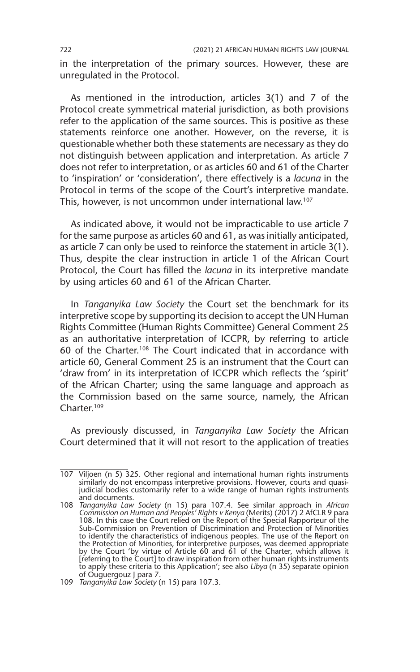in the interpretation of the primary sources. However, these are unregulated in the Protocol.

As mentioned in the introduction, articles 3(1) and 7 of the Protocol create symmetrical material jurisdiction, as both provisions refer to the application of the same sources. This is positive as these statements reinforce one another. However, on the reverse, it is questionable whether both these statements are necessary as they do not distinguish between application and interpretation. As article 7 does not refer to interpretation, or as articles 60 and 61 of the Charter to 'inspiration' or 'consideration', there effectively is a *lacuna* in the Protocol in terms of the scope of the Court's interpretive mandate. This, however, is not uncommon under international law.107

As indicated above, it would not be impracticable to use article 7 for the same purpose as articles 60 and 61, as was initially anticipated, as article 7 can only be used to reinforce the statement in article 3(1). Thus, despite the clear instruction in article 1 of the African Court Protocol, the Court has filled the *lacuna* in its interpretive mandate by using articles 60 and 61 of the African Charter.

In *Tanganyika Law Society* the Court set the benchmark for its interpretive scope by supporting its decision to accept the UN Human Rights Committee (Human Rights Committee) General Comment 25 as an authoritative interpretation of ICCPR, by referring to article 60 of the Charter.108 The Court indicated that in accordance with article 60, General Comment 25 is an instrument that the Court can 'draw from' in its interpretation of ICCPR which reflects the 'spirit' of the African Charter; using the same language and approach as the Commission based on the same source, namely, the African Charter.109

As previously discussed, in *Tanganyika Law Society* the African Court determined that it will not resort to the application of treaties

<sup>107</sup> Viljoen (n 5) 325. Other regional and international human rights instruments similarly do not encompass interpretive provisions. However, courts and quasijudicial bodies customarily refer to a wide range of human rights instruments and documents.

<sup>108</sup> *Tanganyika Law Society* (n 15) para 107.4. See similar approach in *African Commission on Human and Peoples' Rights v Kenya* (Merits) (2017) 2 AfCLR 9 para 108. In this case the Court relied on the Report of the Special Rapporteur of the Sub-Commission on Prevention of Discrimination and Protection of Minorities to identify the characteristics of indigenous peoples. The use of the Report on the Protection of Minorities, for interpretive purposes, was deemed appropriate<br>by the Court 'by virtue of Article 60 and 61 of the Charter, which allows it<br>[referring to the Court] to draw inspiration from other human rig to apply these criteria to this Application'; see also *Libya* (n 35) separate opinion of Ouguergouz J para 7.

<sup>109</sup> *Tanganyika Law Society* (n 15) para 107.3.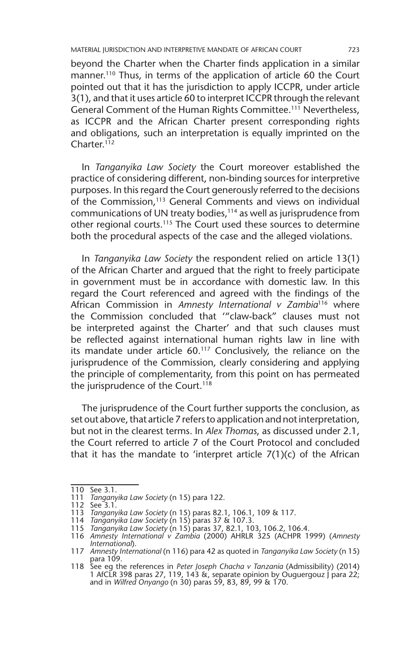MATERIAL JURISDICTION AND INTERPRETIVE MANDATE OF AFRICAN COURT 723

beyond the Charter when the Charter finds application in a similar manner.<sup>110</sup> Thus, in terms of the application of article 60 the Court pointed out that it has the jurisdiction to apply ICCPR, under article 3(1), and that it uses article 60 to interpret ICCPR through the relevant General Comment of the Human Rights Committee.<sup>111</sup> Nevertheless, as ICCPR and the African Charter present corresponding rights and obligations, such an interpretation is equally imprinted on the Charter.112

In *Tanganyika Law Society* the Court moreover established the practice of considering different, non-binding sources for interpretive purposes. In this regard the Court generously referred to the decisions of the Commission,<sup>113</sup> General Comments and views on individual communications of UN treaty bodies,<sup>114</sup> as well as jurisprudence from other regional courts.115 The Court used these sources to determine both the procedural aspects of the case and the alleged violations.

In *Tanganyika Law Society* the respondent relied on article 13(1) of the African Charter and argued that the right to freely participate in government must be in accordance with domestic law. In this regard the Court referenced and agreed with the findings of the African Commission in *Amnesty International v Zambia*116 where the Commission concluded that '"claw-back" clauses must not be interpreted against the Charter' and that such clauses must be reflected against international human rights law in line with its mandate under article 60.117 Conclusively, the reliance on the jurisprudence of the Commission, clearly considering and applying the principle of complementarity, from this point on has permeated the jurisprudence of the Court.<sup>118</sup>

The jurisprudence of the Court further supports the conclusion, as set out above, that article 7 refers to application and not interpretation, but not in the clearest terms. In *Alex Thomas*, as discussed under 2.1, the Court referred to article 7 of the Court Protocol and concluded that it has the mandate to 'interpret article 7(1)(c) of the African

<sup>110</sup> See 3.1.

<sup>111</sup> *Tanganyika Law Society* (n 15) para 122.

<sup>112</sup> See 3.1.

<sup>113</sup> *Tanganyika Law Society* (n 15) paras 82.1, 106.1, 109 & 117.

<sup>114</sup> *Tanganyika Law Society* (n 15) paras 37 & 107.3.

<sup>115</sup> *Tanganyika Law Society* (n 15) paras 37, 82.1, 103, 106.2, 106.4.

<sup>116</sup> *Amnesty International v Zambia* (2000) AHRLR 325 (ACHPR 1999) (*Amnesty International*). 117 *Amnesty International* (n 116) para 42 as quoted in *Tanganyika Law Society* (n 15)

para 109.

<sup>118</sup> See eg the references in *Peter Joseph Chacha v Tanzania* (Admissibility) (2014) 1 AfCLR 398 paras 27, 119, 143 &, separate opinion by Ouguergouz J para 22; and in *Wilfred Onyango* (n 30) paras 59, 83, 89, 99 & 170.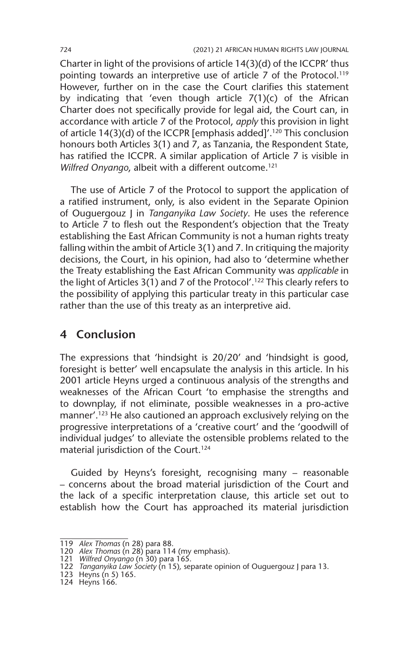Charter in light of the provisions of article 14(3)(d) of the ICCPR' thus pointing towards an interpretive use of article 7 of the Protocol.<sup>119</sup> However, further on in the case the Court clarifies this statement by indicating that 'even though article  $7(1)(c)$  of the African Charter does not specifically provide for legal aid, the Court can, in accordance with article 7 of the Protocol, *apply* this provision in light of article 14(3)(d) of the ICCPR [emphasis added]'.<sup>120</sup> This conclusion honours both Articles 3(1) and 7, as Tanzania, the Respondent State, has ratified the ICCPR. A similar application of Article 7 is visible in *Wilfred Onyango, albeit with a different outcome.<sup>121</sup>* 

The use of Article 7 of the Protocol to support the application of a ratified instrument, only, is also evident in the Separate Opinion of Ouguergouz J in *Tanganyika Law Society*. He uses the reference to Article 7 to flesh out the Respondent's objection that the Treaty establishing the East African Community is not a human rights treaty falling within the ambit of Article 3(1) and 7. In critiquing the majority decisions, the Court, in his opinion, had also to 'determine whether the Treaty establishing the East African Community was *applicable* in the light of Articles 3(1) and 7 of the Protocol'.122 This clearly refers to the possibility of applying this particular treaty in this particular case rather than the use of this treaty as an interpretive aid.

# **4 Conclusion**

The expressions that 'hindsight is 20/20' and 'hindsight is good, foresight is better' well encapsulate the analysis in this article. In his 2001 article Heyns urged a continuous analysis of the strengths and weaknesses of the African Court 'to emphasise the strengths and to downplay, if not eliminate, possible weaknesses in a pro-active manner'.123 He also cautioned an approach exclusively relying on the progressive interpretations of a 'creative court' and the 'goodwill of individual judges' to alleviate the ostensible problems related to the material jurisdiction of the Court.<sup>124</sup>

Guided by Heyns's foresight, recognising many – reasonable – concerns about the broad material jurisdiction of the Court and the lack of a specific interpretation clause, this article set out to establish how the Court has approached its material jurisdiction

<sup>119</sup> *Alex Thomas* (n 28) para 88. 120 *Alex Thomas* (n 28) para 114 (my emphasis). 121 *Wilfred Onyango* (n 30) para 165.

<sup>122</sup> *Tanganyika Law Society* (n 15)*,* separate opinion of Ouguergouz J para 13.

<sup>123</sup> Heyns (n 5) 165.

<sup>124</sup> Heyns 166.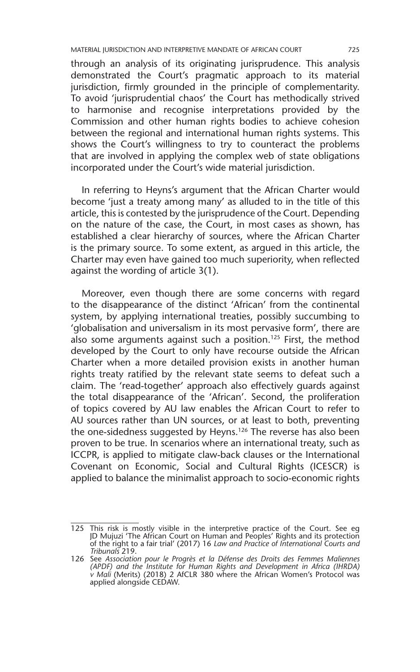through an analysis of its originating jurisprudence. This analysis demonstrated the Court's pragmatic approach to its material jurisdiction, firmly grounded in the principle of complementarity. To avoid 'jurisprudential chaos' the Court has methodically strived to harmonise and recognise interpretations provided by the Commission and other human rights bodies to achieve cohesion between the regional and international human rights systems. This shows the Court's willingness to try to counteract the problems that are involved in applying the complex web of state obligations incorporated under the Court's wide material jurisdiction.

In referring to Heyns's argument that the African Charter would become 'just a treaty among many' as alluded to in the title of this article, this is contested by the jurisprudence of the Court. Depending on the nature of the case, the Court, in most cases as shown, has established a clear hierarchy of sources, where the African Charter is the primary source. To some extent, as argued in this article, the Charter may even have gained too much superiority, when reflected against the wording of article 3(1).

Moreover, even though there are some concerns with regard to the disappearance of the distinct 'African' from the continental system, by applying international treaties, possibly succumbing to 'globalisation and universalism in its most pervasive form', there are also some arguments against such a position.<sup>125</sup> First, the method developed by the Court to only have recourse outside the African Charter when a more detailed provision exists in another human rights treaty ratified by the relevant state seems to defeat such a claim. The 'read-together' approach also effectively guards against the total disappearance of the 'African'. Second, the proliferation of topics covered by AU law enables the African Court to refer to AU sources rather than UN sources, or at least to both, preventing the one-sidedness suggested by Heyns.<sup>126</sup> The reverse has also been proven to be true. In scenarios where an international treaty, such as ICCPR, is applied to mitigate claw-back clauses or the International Covenant on Economic, Social and Cultural Rights (ICESCR) is applied to balance the minimalist approach to socio-economic rights

<sup>125</sup> This risk is mostly visible in the interpretive practice of the Court. See eg JD Mujuzi 'The African Court on Human and Peoples' Rights and its protection of the right to a fair trial' (2017) 16 *Law and Practice of International Courts and Tribunals* 219.

<sup>126</sup> See *Association pour le Progrès et la Défense des Droits des Femmes Maliennes (APDF) and the Institute for Human Rights and Development in Africa (IHRDA) v Mali* (Merits) (2018) 2 AfCLR 380 where the African Women's Protocol was applied alongside CEDAW.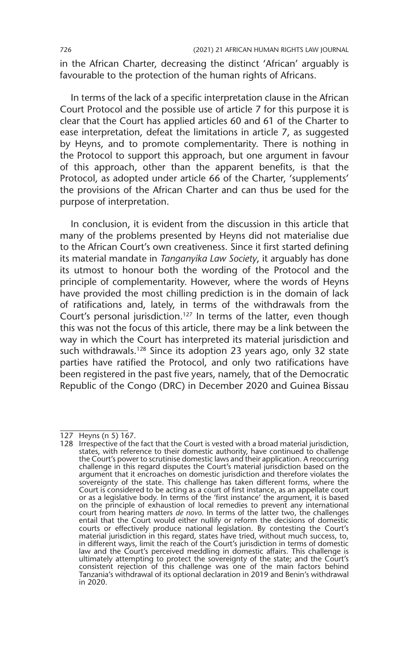in the African Charter, decreasing the distinct 'African' arguably is favourable to the protection of the human rights of Africans.

In terms of the lack of a specific interpretation clause in the African Court Protocol and the possible use of article 7 for this purpose it is clear that the Court has applied articles 60 and 61 of the Charter to ease interpretation, defeat the limitations in article 7, as suggested by Heyns, and to promote complementarity. There is nothing in the Protocol to support this approach, but one argument in favour of this approach, other than the apparent benefits, is that the Protocol, as adopted under article 66 of the Charter, 'supplements' the provisions of the African Charter and can thus be used for the purpose of interpretation.

In conclusion, it is evident from the discussion in this article that many of the problems presented by Heyns did not materialise due to the African Court's own creativeness. Since it first started defining its material mandate in *Tanganyika Law Society*, it arguably has done its utmost to honour both the wording of the Protocol and the principle of complementarity. However, where the words of Heyns have provided the most chilling prediction is in the domain of lack of ratifications and, lately, in terms of the withdrawals from the Court's personal jurisdiction.<sup>127</sup> In terms of the latter, even though this was not the focus of this article, there may be a link between the way in which the Court has interpreted its material jurisdiction and such withdrawals.<sup>128</sup> Since its adoption 23 years ago, only 32 state parties have ratified the Protocol, and only two ratifications have been registered in the past five years, namely, that of the Democratic Republic of the Congo (DRC) in December 2020 and Guinea Bissau

<sup>127</sup> Heyns (n 5) 167.

<sup>128</sup> Irrespective of the fact that the Court is vested with a broad material jurisdiction, states, with reference to their domestic authority, have continued to challenge the Court's power to scrutinise domestic laws and their application. A reoccurring challenge in this regard disputes the Court's material jurisdiction based on the argument that it encroaches on domestic jurisdiction and therefore violates the sovereignty of the state. This challenge has taken different forms, where the Court is considered to be acting as a court of first instance, as an appellate court or as a legislative body. In terms of the 'first instance' the argument, it is based on the principle of exhaustion of local remedies to prevent any international court from hearing matters *de novo*. In terms of the latter two, the challenges entail that the Court would either nullify or reform the decisions of domestic courts or effectively produce national legislation. By contesting the Court's material jurisdiction in this regard, states have tried, without much success, to, in different ways, limit the reach of the Court's jurisdiction in terms of domestic<br>law and the Court's perceived meddling in domestic affairs. This challenge is<br>ultimately attempting to protect the sovereignty of the stat consistent rejection of this challenge was one of the main factors behind Tanzania's withdrawal of its optional declaration in 2019 and Benin's withdrawal in 2020.